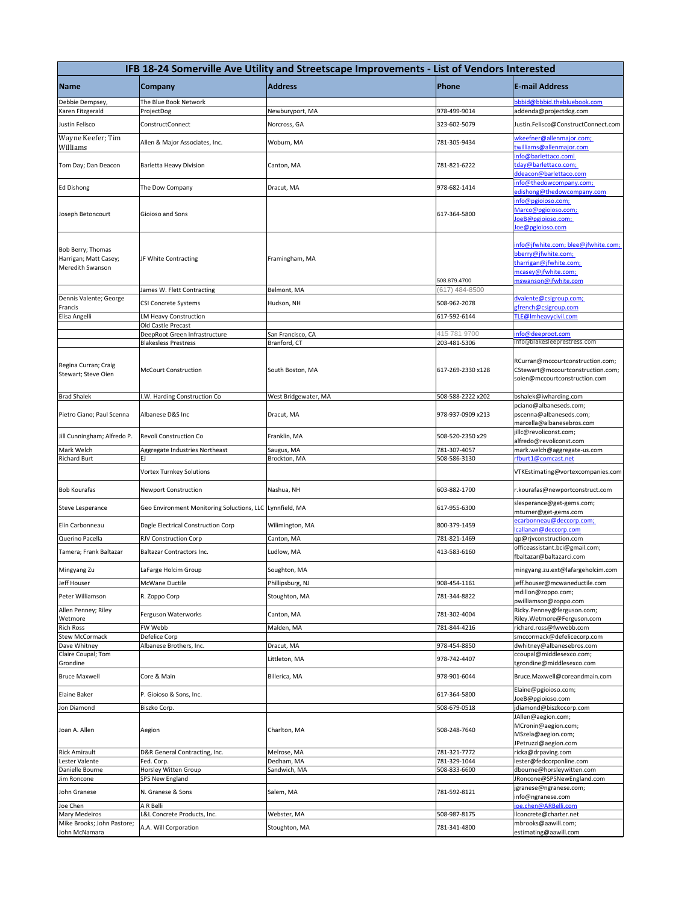|                                                                | IFB 18-24 Somerville Ave Utility and Streetscape Improvements - List of Vendors Interested |                            |                              |                                                                                                                                     |  |
|----------------------------------------------------------------|--------------------------------------------------------------------------------------------|----------------------------|------------------------------|-------------------------------------------------------------------------------------------------------------------------------------|--|
| <b>Name</b>                                                    | Company                                                                                    | <b>Address</b>             | Phone                        | <b>E-mail Address</b>                                                                                                               |  |
| Debbie Dempsey,                                                | The Blue Book Network                                                                      |                            |                              | bbbid@bbbid.thebluebook.com                                                                                                         |  |
| Karen Fitzgerald                                               | ProjectDog                                                                                 | Newburyport, MA            | 978-499-9014                 | addenda@projectdog.com                                                                                                              |  |
| Justin Felisco                                                 | ConstructConnect                                                                           | Norcross, GA               | 323-602-5079                 | Justin.Felisco@ConstructConnect.com                                                                                                 |  |
| Wayne Keefer; Tim<br>Williams                                  | Allen & Major Associates, Inc.                                                             | Woburn, MA                 | 781-305-9434                 | wkeefner@allenmajor.com;<br>twilliams@allenmajor.com                                                                                |  |
| Tom Day; Dan Deacon                                            | Barletta Heavy Division                                                                    | Canton, MA                 | 781-821-6222                 | info@barlettaco.coml<br>tday@barlettaco.com;<br>ddeacon@barlettaco.com                                                              |  |
| <b>Ed Dishong</b>                                              | The Dow Company                                                                            | Dracut, MA                 | 978-682-1414                 | info@thedowcompany.com;<br>edishong@thedowcompany.com                                                                               |  |
| Joseph Betoncourt                                              | Gioioso and Sons                                                                           |                            | 617-364-5800                 | info@pgioioso.com;<br>Marco@pgioioso.com;<br>loeB@pgioioso.com;<br>loe@pgioioso.com                                                 |  |
| Bob Berry; Thomas<br>Harrigan; Matt Casey;<br>Meredith Swanson | JF White Contracting                                                                       | Framingham, MA             | 508.879.4700                 | info@jfwhite.com; blee@jfwhite.com;<br>bberry@jfwhite.com;<br>tharrigan@jfwhite.com;<br>mcasey@jfwhite.com;<br>mswanson@jfwhite.com |  |
|                                                                | James W. Flett Contracting                                                                 | Belmont, MA                | (617) 484-8500               |                                                                                                                                     |  |
| Dennis Valente; George<br>Francis                              | <b>CSI Concrete Systems</b>                                                                | Hudson, NH                 | 508-962-2078                 | dvalente@csigroup.com;<br>gfrench@csigroup.com                                                                                      |  |
| Elisa Angelli                                                  | LM Heavy Construction<br>Old Castle Precast                                                |                            | 617-592-6144                 | TLE@Imheavycivil.com                                                                                                                |  |
|                                                                | DeepRoot Green Infrastructure                                                              | San Francisco, CA          | 415 781 9700                 | info@deeproot.com                                                                                                                   |  |
|                                                                | <b>Blakesless Prestress</b>                                                                | Branford, CT               | 203-481-5306                 | info@blakesleeprestress.com                                                                                                         |  |
| Regina Curran; Craig<br>Stewart; Steve Oien                    | <b>McCourt Construction</b>                                                                | South Boston, MA           | 617-269-2330 x128            | RCurran@mccourtconstruction.com;<br>CStewart@mccourtconstruction.com;<br>soien@mccourtconstruction.com                              |  |
| <b>Brad Shalek</b>                                             | I.W. Harding Construction Co                                                               | West Bridgewater, MA       | 508-588-2222 x202            | bshalek@iwharding.com                                                                                                               |  |
| Pietro Ciano; Paul Scenna                                      | Albanese D&S Inc                                                                           | Dracut, MA                 | 978-937-0909 x213            | pciano@albaneseds.com;<br>pscenna@albaneseds.com;<br>marcella@albanesebros.com                                                      |  |
| Jill Cunningham; Alfredo P.                                    | Revoli Construction Co                                                                     | Franklin, MA               | 508-520-2350 x29             | jillc@revoliconst.com;<br>alfredo@revoliconst.com                                                                                   |  |
| Mark Welch                                                     | Aggregate Industries Northeast                                                             | Saugus, MA                 | 781-307-4057                 | mark.welch@aggregate-us.com                                                                                                         |  |
| <b>Richard Burt</b>                                            | EJ                                                                                         | Brockton, MA               | 508-586-3130                 | rfburt1@comcast.net                                                                                                                 |  |
|                                                                | Vortex Turnkey Solutions                                                                   |                            |                              | VTKEstimating@vortexcompanies.com                                                                                                   |  |
| <b>Bob Kourafas</b>                                            | <b>Newport Construction</b>                                                                | Nashua, NH                 | 603-882-1700                 | r.kourafas@newportconstruct.com<br>slesperance@get-gems.com;                                                                        |  |
| Steve Lesperance                                               | Geo Environment Monitoring Soluctions, LLC Lynnfield, MA                                   |                            | 617-955-6300                 | mturner@get-gems.com<br>ecarbonneau@deccorp.com;                                                                                    |  |
| Elin Carbonneau                                                | Dagle Electrical Construction Corp                                                         | Wilimington, MA            | 800-379-1459                 | callanan@deccorp.com                                                                                                                |  |
| Querino Pacella                                                | RJV Construction Corp                                                                      | Canton, MA                 | 781-821-1469                 | qp@rjvconstruction.com                                                                                                              |  |
| Tamera; Frank Baltazar                                         | Baltazar Contractors Inc.                                                                  | Ludlow, MA                 | 413-583-6160                 | officeassistant.bci@gmail.com;<br>fbaltazar@baltazarci.com                                                                          |  |
| Mingyang Zu                                                    | LaFarge Holcim Group                                                                       | Soughton, MA               |                              | mingyang.zu.ext@lafargeholcim.com                                                                                                   |  |
| Jeff Houser                                                    | McWane Ductile                                                                             | Phillipsburg, NJ           | 908-454-1161                 | jeff.houser@mcwaneductile.com                                                                                                       |  |
| Peter Williamson                                               | R. Zoppo Corp                                                                              | Stoughton, MA              | 781-344-8822                 | mdillon@zoppo.com;<br>pwilliamson@zoppo.com                                                                                         |  |
| Allen Penney; Riley                                            | Ferguson Waterworks                                                                        | Canton, MA                 | 781-302-4004                 | Ricky.Penney@ferguson.com;                                                                                                          |  |
| Wetmore<br><b>Rich Ross</b>                                    | FW Webb                                                                                    | Malden, MA                 | 781-844-4216                 | Riley.Wetmore@Ferguson.com<br>richard.ross@fwwebb.com                                                                               |  |
| <b>Stew McCormack</b>                                          | Defelice Corp                                                                              |                            |                              | smccormack@defelicecorp.com                                                                                                         |  |
| Dave Whitney                                                   | Albanese Brothers, Inc.                                                                    | Dracut, MA                 | 978-454-8850                 | dwhitney@albanesebros.com                                                                                                           |  |
| Claire Coupal; Tom<br>Grondine                                 |                                                                                            | Littleton, MA              | 978-742-4407                 | ccoupal@middlesexco.com;<br>tgrondine@middlesexco.com                                                                               |  |
| <b>Bruce Maxwell</b>                                           | Core & Main                                                                                | Billerica, MA              | 978-901-6044                 | Bruce.Maxwell@coreandmain.com                                                                                                       |  |
| Elaine Baker                                                   | P. Gioioso & Sons, Inc.                                                                    |                            | 617-364-5800                 | Elaine@pgioioso.com;<br>JoeB@pgioioso.com                                                                                           |  |
| Jon Diamond                                                    | Biszko Corp.                                                                               |                            | 508-679-0518                 | jdiamond@biszkocorp.com                                                                                                             |  |
| Joan A. Allen                                                  | Aegion                                                                                     | Charlton, MA               | 508-248-7640                 | JAllen@aegion.com;<br>MCronin@aegion.com;<br>MSzela@aegion.com;<br>JPetruzzi@aegion.com                                             |  |
| <b>Rick Amirault</b>                                           | D&R General Contracting, Inc.                                                              | Melrose, MA                | 781-321-7772                 | ricka@drpaving.com                                                                                                                  |  |
| Lester Valente<br>Danielle Bourne                              | Fed. Corp.<br>Horsley Witten Group                                                         | Dedham, MA<br>Sandwich, MA | 781-329-1044<br>508-833-6600 | lester@fedcorponline.com<br>dbourne@horsleywitten.com                                                                               |  |
| Jim Roncone                                                    | <b>SPS New England</b>                                                                     |                            |                              | JRoncone@SPSNewEngland.com                                                                                                          |  |
| John Granese                                                   | N. Granese & Sons                                                                          | Salem, MA                  | 781-592-8121                 | jgranese@ngranese.com;<br>info@ngranese.com                                                                                         |  |
| Joe Chen                                                       | A R Belli                                                                                  |                            |                              | ioe.chen@ARBelli.com                                                                                                                |  |
| Mary Medeiros                                                  | L&L Concrete Products, Inc.                                                                | Webster, MA                | 508-987-8175                 | llconcrete@charter.net                                                                                                              |  |
| Mike Brooks; John Pastore;<br>John McNamara                    | A.A. Will Corporation                                                                      | Stoughton, MA              | 781-341-4800                 | mbrooks@aawill.com;<br>estimating@aawill.com                                                                                        |  |